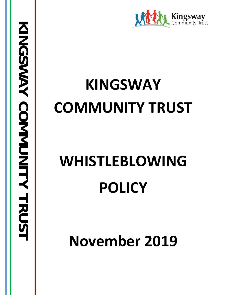

## **KINGSWAY COMMUNITY TRUST**

# **WHISTLEBLOWING POLICY**

**November 2019**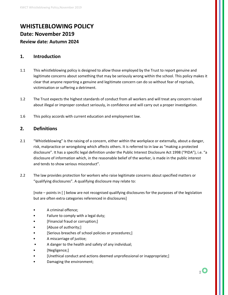## **WHISTLEBLOWING POLICY Date: November 2019 Review date: Autumn 2024**

#### **1. Introduction**

- 1.1 This whistleblowing policy is designed to allow those employed by the Trust to report genuine and legitimate concerns about something that may be seriously wrong within the school. This policy makes it clear that anyone reporting a genuine and legitimate concern can do so without fear of reprisals, victimisation or suffering a detriment.
- 1.2 The Trust expects the highest standards of conduct from all workers and will treat any concern raised about illegal or improper conduct seriously, in confidence and will carry out a proper investigation.
- 1.6 This policy accords with current education and employment law.

#### **2. Definitions**

- 2.1 "Whistleblowing" is the raising of a concern, either within the workplace or externally, about a danger, risk, malpractice or wrongdoing which affects others. It is referred to in law as "making a protected disclosure". It has a specific legal definition under the Public Interest Disclosure Act 1998 ("PIDA"), i.e. "a disclosure of information which, in the reasonable belief of the worker, is made in the public interest and tends to show serious misconduct".
- 2.2 The law provides protection for workers who raise legitimate concerns about specified matters or "qualifying disclosures". A qualifying disclosure may relate to:

[note – points in [ ] below are not recognised qualifying disclosures for the purposes of the legislation but are often extra categories referenced in disclosures]

- A criminal offence;
- Failure to comply with a legal duty;
- [Financial fraud or corruption;]
- [Abuse of authority;]
- [Serious breaches of school policies or procedures;]
- A miscarriage of justice;
- A danger to the health and safety of any individual;
- [Negligence;]
- [Unethical conduct and actions deemed unprofessional or inappropriate;]
- Damaging the environment;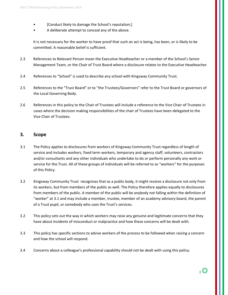- [Conduct likely to damage the School's reputation;]
- A deliberate attempt to conceal any of the above.

It is not necessary for the worker to have proof that such an act is being, has been, or is likely to be committed. A reasonable belief is sufficient.

- 2.3 References to Relevant Person mean the Executive Headteacher or a member of the School's Senior Management Team, or the Chair of Trust Board where a disclosure relates to the Executive Headteacher.
- 2.4 References to "School" is used to describe any school with Kingsway Community Trust.
- 2.5 References to the "Trust Board" or to "the Trustees/Governors" refer to the Trust Board or governors of the Local Governing Body.
- 2.6 References in this policy to the Chair of Trustees will include a reference to the Vice Chair of Trustees in cases where the decision making responsibilities of the chair of Trustees have been delegated to the Vice Chair of Trustees.

#### **3. Scope**

- 3.1 The Policy applies to disclosures from workers of Kingsway Community Trust regardless of length of service and includes workers, fixed term workers, temporary and agency staff, volunteers, contractors and/or consultants and any other individuals who undertake to do or perform personally any work or service for the Trust. All of these groups of individuals will be referred to as "workers" for the purposes of this Policy.
- 3.2 Kingsway Community Trust recognises that as a public body, it might receive a disclosure not only from its workers, but from members of the public as well. The Policy therefore applies equally to disclosures from members of the public. A member of the public will be anybody not falling within the definition of "worker" at 3.1 and may include a member, trustee, member of an academy advisory board, the parent of a Trust pupil, or somebody who uses the Trust's services.
- 3.2 This policy sets out the way in which workers may raise any genuine and legitimate concerns that they have about incidents of misconduct or malpractice and how these concerns will be dealt with.
- 3.3 This policy has specific sections to advise workers of the process to be followed when raising a concern and how the school will respond.
- 3.4 Concerns about a colleague's professional capability should not be dealt with using this policy.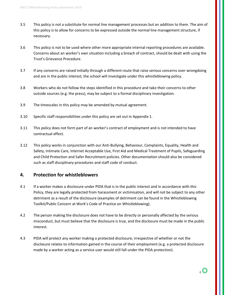- 3.5 This policy is not a substitute for normal line management processes but an addition to them. The aim of this policy is to allow for concerns to be expressed outside the normal line management structure, if necessary.
- 3.6 This policy is not to be used where other more appropriate internal reporting procedures are available. Concerns about an worker's own situation including a breach of contract, should be dealt with using the Trust's Grievance Procedure.
- 3.7 If any concerns are raised initially through a different route that raise serious concerns over wrongdoing and are in the public interest, the school will investigate under this whistleblowing policy.
- 3.8 Workers who do not follow the steps identified in this procedure and take their concerns to other outside sources (e.g. the press), may be subject to a formal disciplinary investigation.
- 3.9 The timescales in this policy may be amended by mutual agreement.
- 3.10 Specific staff responsibilities under this policy are set out in Appendix 1.
- 3.11 This policy does not form part of an worker's contract of employment and is not intended to have contractual effect.
- 3.12 This policy works in conjunction with our Anti-Bullying, Behaviour, Complaints, Equality, Health and Safety, Intimate Care, Internet Acceptable Use, First Aid and Medical Treatment of Pupils, Safeguarding and Child Protection and Safer Recruitment policies. Other documentation should also be considered such as staff disciplinary procedures and staff code of conduct.

#### **4. Protection for whistleblowers**

- 4.1 If a worker makes a disclosure under PIDA that is in the public interest and in accordance with this Policy, they are legally protected from harassment or victimisation, and will not be subject to any other detriment as a result of the disclosure (examples of detriment can be found in the Whistleblowing Toolkit/Public Concern at Work's Code of Practice on Whistleblowing).
- 4.2 The person making the disclosure does not have to be directly or personally affected by the serious misconduct, but must believe that the disclosure is true, and the disclosure must be made in the public interest.
- 4.3 PIDA will protect any worker making a protected disclosure, irrespective of whether or not the disclosure relates to information gained in the course of their employment (e.g. a protected disclosure made by a worker acting as a service user would still fall under the PIDA protection).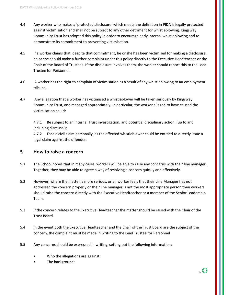- 4.4 Any worker who makes a 'protected disclosure' which meets the definition in PIDA is legally protected against victimisation and shall not be subject to any other detriment for whistleblowing. Kingsway Community Trust has adopted this policy in order to encourage early internal whistleblowing and to demonstrate its commitment to preventing victimisation.
- 4.5 If a worker claims that, despite that commitment, he or she has been victimised for making a disclosure, he or she should make a further complaint under this policy directly to the Executive Headteacher or the Chair of the Board of Trustees. If the disclosure involves them, the worker should report this to the Lead Trustee for Personnel.
- 4.6 A worker has the right to complain of victimisation as a result of any whistleblowing to an employment tribunal.
- 4.7 Any allegation that a worker has victimised a whistleblower will be taken seriously by Kingsway Community Trust, and managed appropriately. In particular, the worker alleged to have caused the victimisation could:

4.7.1 Be subject to an internal Trust investigation, and potential disciplinary action, (up to and including dismissal);

4.7.2 Face a civil claim personally, as the affected whistleblower could be entitled to directly issue a legal claim against the offender.

#### **5 How to raise a concern**

- 5.1 The School hopes that in many cases, workers will be able to raise any concerns with their line manager. Together, they may be able to agree a way of resolving a concern quickly and effectively.
- 5.2 However, where the matter is more serious, or an worker feels that their Line Manager has not addressed the concern properly or their line manager is not the most appropriate person then workers should raise the concern directly with the Executive Headteacher or a member of the Senior Leadership Team.
- 5.3 If the concern relates to the Executive Headteacher the matter should be raised with the Chair of the Trust Board.
- 5.4 In the event both the Executive Headteacher and the Chair of the Trust Board are the subject of the concern, the complaint must be made in writing to the Lead Trustee for Personnel
- 5.5 Any concerns should be expressed in writing, setting out the following information:
	- Who the allegations are against;
	- The background;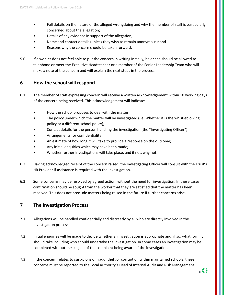- Full details on the nature of the alleged wrongdoing and why the member of staff is particularly concerned about the allegation;
- Details of any evidence in support of the allegation;
- Name and contact details (unless they wish to remain anonymous); and
- Reasons why the concern should be taken forward.
- 5.6 If a worker does not feel able to put the concern in writing initially, he or she should be allowed to telephone or meet the Executive Headteacher or a member of the Senior Leadership Team who will make a note of the concern and will explain the next steps in the process.

#### **6 How the school will respond**

- 6.1 The member of staff expressing concern will receive a written acknowledgement within 10 working days of the concern being received. This acknowledgement will indicate:-
	- How the school proposes to deal with the matter;
	- The policy under which the matter will be investigated (i.e. Whether it is the whistleblowing policy or a different school policy);
	- Contact details for the person handling the investigation (the "Investigating Officer");
	- Arrangements for confidentiality;
	- An estimate of how long it will take to provide a response on the outcome;
	- Any initial enquiries which may have been made;
	- Whether further investigations will take place, and if not, why not.
- 6.2 Having acknowledged receipt of the concern raised, the Investigating Officer will consult with the Trust's HR Provider if assistance is required with the investigation.
- 6.3 Some concerns may be resolved by agreed action, without the need for investigation. In these cases confirmation should be sought from the worker that they are satisfied that the matter has been resolved. This does not preclude matters being raised in the future if further concerns arise.

#### **7 The Investigation Process**

- 7.1 Allegations will be handled confidentially and discreetly by all who are directly involved in the investigation process.
- 7.2 Initial enquiries will be made to decide whether an investigation is appropriate and, if so, what form it should take including who should undertake the investigation. In some cases an investigation may be completed without the subject of the complaint being aware of the investigation.
- 7.3 If the concern relates to suspicions of fraud, theft or corruption within maintained schools, these concerns must be reported to the Local Authority's Head of Internal Audit and Risk Management.

 $6\bigcirc$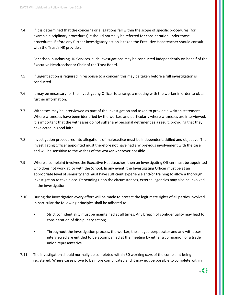7.4 If it is determined that the concerns or allegations fall within the scope of specific procedures (for example disciplinary procedures) it should normally be referred for consideration under those procedures. Before any further investigatory action is taken the Executive Headteacher should consult with the Trust's HR provider.

For school purchasing HR Services, such investigations may be conducted independently on behalf of the Executive Headteacher or Chair of the Trust Board.

- 7.5 If urgent action is required in response to a concern this may be taken before a full investigation is conducted.
- 7.6 It may be necessary for the Investigating Officer to arrange a meeting with the worker in order to obtain further information.
- 7.7 Witnesses may be interviewed as part of the investigation and asked to provide a written statement. Where witnesses have been identified by the worker, and particularly where witnesses are interviewed, it is important that the witnesses do not suffer any personal detriment as a result, providing that they have acted in good faith.
- 7.8 Investigation procedures into allegations of malpractice must be independent, skilled and objective. The Investigating Officer appointed must therefore not have had any previous involvement with the case and will be sensitive to the wishes of the worker wherever possible.
- 7.9 Where a complaint involves the Executive Headteacher, then an Investigating Officer must be appointed who does not work at, or with the School. In any event, the Investigating Officer must be at an appropriate level of seniority and must have sufficient experience and/or training to allow a thorough investigation to take place. Depending upon the circumstances, external agencies may also be involved in the investigation.
- 7.10 During the investigation every effort will be made to protect the legitimate rights of all parties involved. In particular the following principles shall be adhered to:
	- Strict confidentiality must be maintained at all times. Any breach of confidentiality may lead to consideration of disciplinary action;
	- Throughout the investigation process, the worker, the alleged perpetrator and any witnesses interviewed are entitled to be accompanied at the meeting by either a companion or a trade union representative.
- 7.11 The investigation should normally be completed within 30 working days of the complaint being registered. Where cases prove to be more complicated and it may not be possible to complete within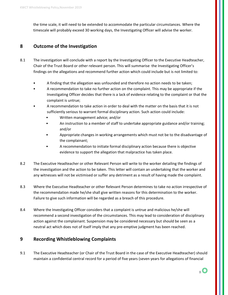the time scale, it will need to be extended to accommodate the particular circumstances. Where the timescale will probably exceed 30 working days, the Investigating Officer will advise the worker.

#### **8 Outcome of the Investigation**

- 8.1 The investigation will conclude with a report by the Investigating Officer to the Executive Headteacher, Chair of the Trust Board or other relevant person. This will summarise the Investigating Officer's findings on the allegations and recommend further action which could include but is not limited to:
	- A finding that the allegation was unfounded and therefore no action needs to be taken;
	- A recommendation to take no further action on the complaint. This may be appropriate if the Investigating Officer decides that there is a lack of evidence relating to the complaint or that the complaint is untrue;
	- A recommendation to take action in order to deal with the matter on the basis that it is not sufficiently serious to warrant formal disciplinary action. Such action could include:
		- Written management advice; and/or
		- An instruction to a member of staff to undertake appropriate guidance and/or training; and/or
		- Appropriate changes in working arrangements which must not be to the disadvantage of the complainant;
		- A recommendation to initiate formal disciplinary action because there is objective evidence to support the allegation that malpractice has taken place.
- 8.2 The Executive Headteacher or other Relevant Person will write to the worker detailing the findings of the investigation and the action to be taken. This letter will contain an undertaking that the worker and any witnesses will not be victimised or suffer any detriment as a result of having made the complaint.
- 8.3 Where the Executive Headteacher or other Relevant Person determines to take no action irrespective of the recommendation made he/she shall give written reasons for this determination to the worker. Failure to give such information will be regarded as a breach of this procedure.
- 8.4 Where the Investigating Officer considers that a complaint is untrue and malicious he/she will recommend a second investigation of the circumstances. This may lead to consideration of disciplinary action against the complainant. Suspension may be considered necessary but should be seen as a neutral act which does not of itself imply that any pre-emptive judgment has been reached.

#### **9 Recording Whistleblowing Complaints**

9.1 The Executive Headteacher (or Chair of the Trust Board in the case of the Executive Headteacher) should maintain a confidential central record for a period of five years (seven years for allegations of financial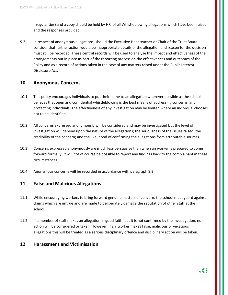irregularities) and a copy should be held by HR of all Whistleblowing allegations which have been raised and the responses provided.

9.2 In respect of anonymous allegations, should the Executive Headteacher or Chair of the Trust Board consider that further action would be inappropriate details of the allegation and reason for the decision must still be recorded. These central records will be used to analyse the impact and effectiveness of the arrangements put in place as part of the reporting process on the effectiveness and outcomes of the Policy and as a record of actions taken in the case of any matters raised under the Public Interest Disclosure Act.

#### **10 Anonymous Concerns**

- 10.1 This policy encourages individuals to put their name to an allegation wherever possible as the school believes that open and confidential whistleblowing is the best means of addressing concerns, and protecting individuals. The effectiveness of any investigation may be limited where an individual chooses not to be identified.
- 10.2 All concerns expressed anonymously will be considered and may be investigated but the level of investigation will depend upon the nature of the allegations; the seriousness of the issues raised; the credibility of the concern; and the likelihood of confirming the allegations from attributable sources.
- 10.3 Concerns expressed anonymously are much less persuasive than when an worker is prepared to come forward formally. It will not of course be possible to report any findings back to the complainant in these circumstances.
- 10.4 Anonymous concerns will be recorded in accordance with paragraph 8.2

#### **11 False and Malicious Allegations**

- 11.1 While encouraging workers to bring forward genuine matters of concern, the school must guard against claims which are untrue and are made to deliberately damage the reputation of other staff at the school.
- 11.2 If a member of staff makes an allegation in good faith, but it is not confirmed by the investigation, no action will be considered or taken. However, if an worker makes false, malicious or vexatious allegations this will be treated as a serious disciplinary offence and disciplinary action will be taken.

#### **12 Harassment and Victimisation**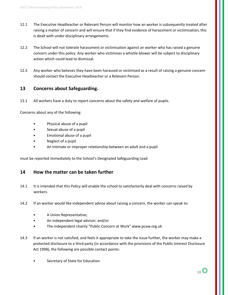- 12.1 The Executive Headteacher or Relevant Person will monitor how an worker is subsequently treated after raising a matter of concern and will ensure that if they find evidence of harassment or victimisation, this is dealt with under disciplinary arrangements.
- 12.2 The School will not tolerate harassment or victimisation against an worker who has raised a genuine concern under this policy. Any worker who victimises a whistle-blower will be subject to disciplinary action which could lead to dismissal.
- 12.3 Any worker who believes they have been harassed or victimised as a result of raising a genuine concern should contact the Executive Headteacher or a Relevant Person.

#### **13 Concerns about Safeguarding.**

13.1 All workers have a duty to report concerns about the safety and welfare of pupils.

Concerns about any of the following:

- Physical abuse of a pupil
- Sexual abuse of a pupil
- Emotional abuse of a pupil
- Neglect of a pupil
- An intimate or improper relationship between an adult and a pupil

must be reported immediately to the School's Designated Safeguarding Lead

#### **14 How the matter can be taken further**

- 14.1 It is intended that this Policy will enable the school to satisfactorily deal with concerns raised by workers.
- 14.2 If an worker would like independent advice about raising a concern, the worker can speak to:
	- A Union Representative;
	- An independent legal advisor; and/or
	- The independent charity "Public Concern at Work" www.pcaw.org.uk
- 14.3 If an worker is not satisfied, and feels it appropriate to take the issue further, the worker may make a protected disclosure to a third party (in accordance with the provisions of the Public Interest Disclosure Act 1998), the following are possible contact points:
	- Secretary of State for Education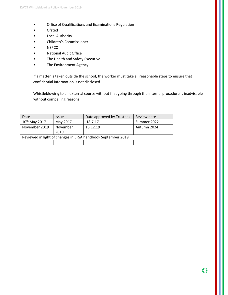- Office of Qualifications and Examinations Regulation
- Ofsted
- Local Authority
- Children's Commissioner
- NSPCC
- National Audit Office
- The Health and Safety Executive
- The Environment Agency

If a matter is taken outside the school, the worker must take all reasonable steps to ensure that confidential information is not disclosed.

Whistleblowing to an external source without first going through the internal procedure is inadvisable without compelling reasons.

| Date                                                         | <i><u><b>Issue</b></u></i> | Date approved by Trustees | Review date |
|--------------------------------------------------------------|----------------------------|---------------------------|-------------|
| 10 <sup>th</sup> May 2017                                    | May 2017                   | 18.7.17                   | Summer 2022 |
| November 2019                                                | November                   | 16.12.19                  | Autumn 2024 |
|                                                              | 2019                       |                           |             |
| Reviewed in light of changes in EFSA handbook September 2019 |                            |                           |             |
|                                                              |                            |                           |             |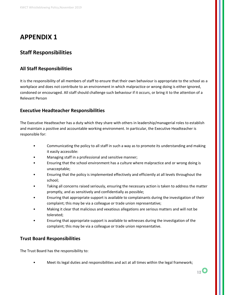## **APPENDIX 1**

### **Staff Responsibilities**

#### **All Staff Responsibilities**

It is the responsibility of all members of staff to ensure that their own behaviour is appropriate to the school as a workplace and does not contribute to an environment in which malpractice or wrong doing is either ignored, condoned or encouraged. All staff should challenge such behaviour if it occurs, or bring it to the attention of a Relevant Person

#### **Executive Headteacher Responsibilities**

The Executive Headteacher has a duty which they share with others in leadership/managerial roles to establish and maintain a positive and accountable working environment. In particular, the Executive Headteacher is responsible for:

- Communicating the policy to all staff in such a way as to promote its understanding and making it easily accessible:
- Managing staff in a professional and sensitive manner;
- Ensuring that the school environment has a culture where malpractice and or wrong doing is unacceptable;
- Ensuring that the policy is implemented effectively and efficiently at all levels throughout the school;
- Taking all concerns raised seriously, ensuring the necessary action is taken to address the matter promptly, and as sensitively and confidentially as possible;
- Ensuring that appropriate support is available to complainants during the investigation of their complaint; this may be via a colleague or trade union representative;
- Making it clear that malicious and vexatious allegations are serious matters and will not be tolerated;
- Ensuring that appropriate support is available to witnesses during the investigation of the complaint; this may be via a colleague or trade union representative.

#### **Trust Board Responsibilities**

The Trust Board has the responsibility to:

• Meet its legal duties and responsibilities and act at all times within the legal framework;

 $_{12}$  (O)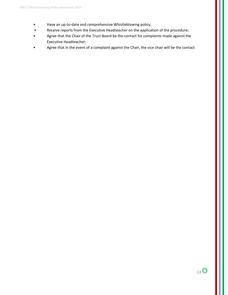- Have an up-to-date and comprehensive Whistleblowing policy;
- Receive reports from the Executive Headteacher on the application of the procedure;
- Agree that the Chair of the Trust Board be the contact for complaints made against the Executive Headteacher;
- Agree that in the event of a complaint against the Chair, the vice chair will be the contact